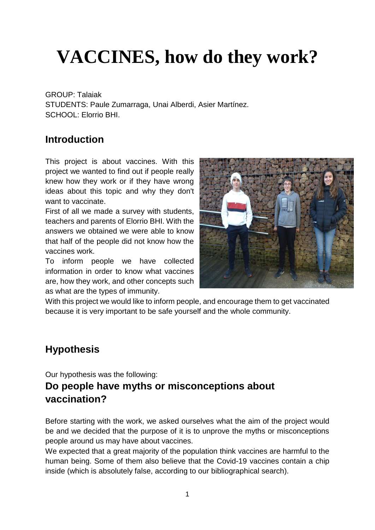# **VACCINES, how do they work?**

GROUP: Talaiak STUDENTS: Paule Zumarraga, Unai Alberdi, Asier Martínez. SCHOOL: Elorrio BHI.

#### **Introduction**

This project is about vaccines. With this project we wanted to find out if people really knew how they work or if they have wrong ideas about this topic and why they don't want to vaccinate.

First of all we made a survey with students, teachers and parents of Elorrio BHI. With the answers we obtained we were able to know that half of the people did not know how the vaccines work.

To inform people we have collected information in order to know what vaccines are, how they work, and other concepts such as what are the types of immunity.



With this project we would like to inform people, and encourage them to get vaccinated because it is very important to be safe yourself and the whole community.

#### **Hypothesis**

Our hypothesis was the following:

#### **Do people have myths or misconceptions about vaccination?**

Before starting with the work, we asked ourselves what the aim of the project would be and we decided that the purpose of it is to unprove the myths or misconceptions people around us may have about vaccines.

We expected that a great majority of the population think vaccines are harmful to the human being. Some of them also believe that the Covid-19 vaccines contain a chip inside (which is absolutely false, according to our bibliographical search).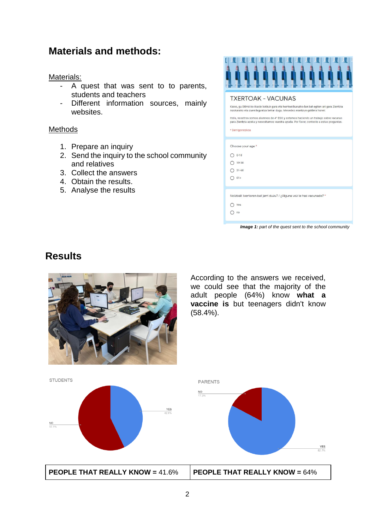#### **Materials and methods:**

Materials:

- A quest that was sent to to parents, students and teachers
- Different information sources, mainly websites.

#### Methods

- 1. Prepare an inquiry
- 2. Send the inquiry to the school community and relatives
- 3. Collect the answers
- 4. Obtain the results.
- 5. Analyse the results



#### **TXERTOAK - VACUNAS**

Kaixo, gu DBH4-ko ikasle batzuk gara eta txertoei buruzko lan bat egiten ari gara Zientzia Azokarako eta zuen laguntza behar dugu. Mesedez erantzun galdera honel

Hola, nosotros somos alumnos de 4º ESO y estamos haciendo un trabajo sobre vacunas<br>para Zientzia azoka y necesitamos vuestra ayuda. Por favor, conteste a estas preguntas.

\* Derrigarrezkoa

Choose your age \*  $O 0-18$ 

 $O$  19-30

 $\bigcap$  31-60

 $O$  61+

Noizbait txertoren bat jarri duzu? / ¿Alguna vez te has vacunado? \*

*Image 1: part of the quest sent to the school community*

 $O$  Yes  $O$  no

## **Results**



According to the answers we received, we could see that the majority of the adult people (64%) know **what a vaccine is** but teenagers didn't know (58.4%).







**PEOPLE THAT REALLY KNOW =** 41.6% **PEOPLE THAT REALLY KNOW =** 64%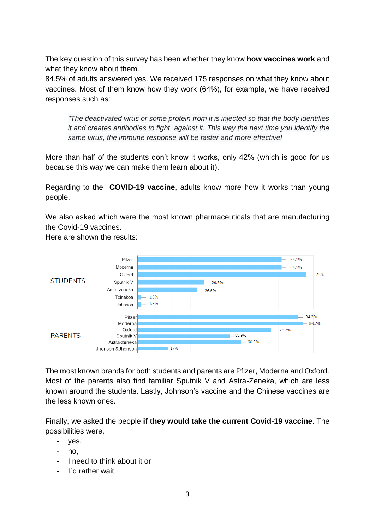The key question of this survey has been whether they know **how vaccines work** and what they know about them.

84.5% of adults answered yes. We received 175 responses on what they know about vaccines. Most of them know how they work (64%), for example, we have received responses such as:

*"The deactivated virus or some protein from it is injected so that the body identifies it and creates antibodies to fight against it. This way the next time you identify the same virus, the immune response will be faster and more effective!*

More than half of the students don't know it works, only 42% (which is good for us because this way we can make them learn about it).

Regarding to the **COVID-19 vaccine**, adults know more how it works than young people.

We also asked which were the most known pharmaceuticals that are manufacturing the Covid-19 vaccines.

Here are shown the results:



The most known brands for both students and parents are Pfizer, Moderna and Oxford. Most of the parents also find familiar Sputnik V and Astra-Zeneka, which are less known around the students. Lastly, Johnson's vaccine and the Chinese vaccines are the less known ones.

Finally, we asked the people **if they would take the current Covid-19 vaccine**. The possibilities were,

- yes,
- no,
- I need to think about it or
- I`d rather wait.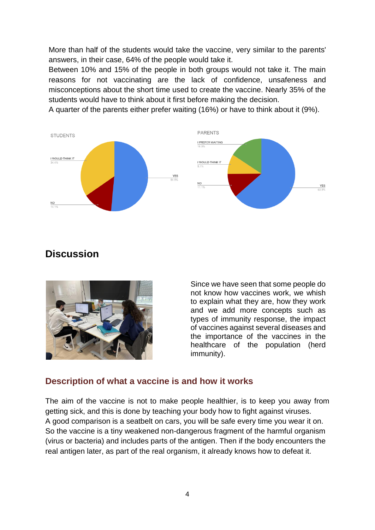More than half of the students would take the vaccine, very similar to the parents' answers, in their case, 64% of the people would take it.

Between 10% and 15% of the people in both groups would not take it. The main reasons for not vaccinating are the lack of confidence, unsafeness and misconceptions about the short time used to create the vaccine. Nearly 35% of the students would have to think about it first before making the decision.

A quarter of the parents either prefer waiting (16%) or have to think about it (9%).



### **Discussion**



Since we have seen that some people do not know how vaccines work, we whish to explain what they are, how they work and we add more concepts such as types of immunity response, the impact of vaccines against several diseases and the importance of the vaccines in the healthcare of the population (herd immunity).

#### **Description of what a vaccine is and how it works**

The aim of the vaccine is not to make people healthier, is to keep you away from getting sick, and this is done by teaching your body how to fight against viruses. A good comparison is a seatbelt on cars, you will be safe every time you wear it on. So the vaccine is a tiny weakened non-dangerous fragment of the harmful organism (virus or bacteria) and includes parts of the antigen. Then if the body encounters the real antigen later, as part of the real organism, it already knows how to defeat it.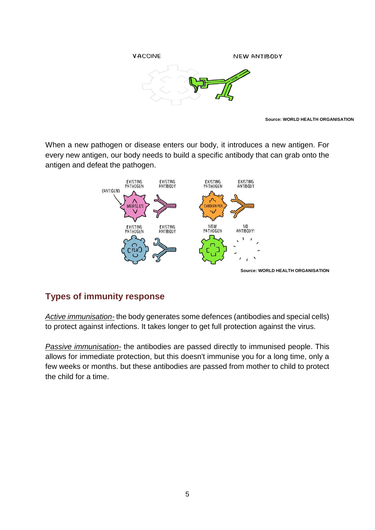

**Source: WORLD HEALTH ORGANISATION**

When a new pathogen or disease enters our body, it introduces a new antigen. For every new antigen, our body needs to build a specific antibody that can grab onto the antigen and defeat the pathogen.



#### **Types of immunity response**

*Active immunisation-* the body generates some defences (antibodies and special cells) to protect against infections. It takes longer to get full protection against the virus.

*Passive immunisation-* the antibodies are passed directly to immunised people. This allows for immediate protection, but this doesn't immunise you for a long time, only a few weeks or months. but these antibodies are passed from mother to child to protect the child for a time.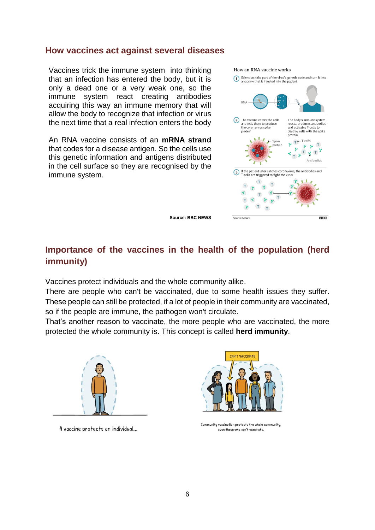#### **How vaccines act against several diseases**

Vaccines trick the immune system into thinking that an infection has entered the body, but it is only a dead one or a very weak one, so the immune system react creating antibodies acquiring this way an immune memory that will allow the body to recognize that infection or virus the next time that a real infection enters the body

An RNA vaccine consists of an **mRNA strand** that codes for a disease antigen. So the cells use this genetic information and antigens distributed in the cell surface so they are recognised by the immune system.

#### How an RNA vaccine works



**Source: BBC NEWS**

#### **Importance of the vaccines in the health of the population (herd immunity)**

Vaccines protect individuals and the whole community alike.

There are people who can't be vaccinated, due to some health issues they suffer. These people can still be protected, if a lot of people in their community are vaccinated, so if the people are immune, the pathogen won't circulate.

That's another reason to vaccinate, the more people who are vaccinated, the more protected the whole community is. This concept is called **herd immunity**.



A vaccine protects an individual...



Community vaccination protects the whole community, even those who can't vaccinate.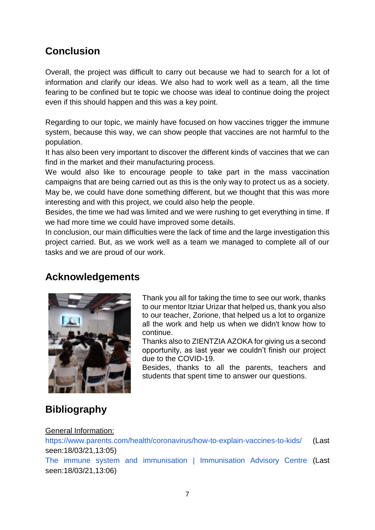### **Conclusion**

Overall, the project was difficult to carry out because we had to search for a lot of information and clarify our ideas. We also had to work well as a team, all the time fearing to be confined but te topic we choose was ideal to continue doing the project even if this should happen and this was a key point.

Regarding to our topic, we mainly have focused on how vaccines trigger the immune system, because this way, we can show people that vaccines are not harmful to the population.

It has also been very important to discover the different kinds of vaccines that we can find in the market and their manufacturing process.

We would also like to encourage people to take part in the mass vaccination campaigns that are being carried out as this is the only way to protect us as a society. May be, we could have done something different, but we thought that this was more interesting and with this project, we could also help the people.

Besides, the time we had was limited and we were rushing to get everything in time. If we had more time we could have improved some details.

In conclusion, our main difficulties were the lack of time and the large investigation this project carried. But, as we work well as a team we managed to complete all of our tasks and we are proud of our work.

#### **Acknowledgements**



Thank you all for taking the time to see our work, thanks to our mentor Itziar Urizar that helped us, thank you also to our teacher, Zorione, that helped us a lot to organize all the work and help us when we didn't know how to continue.

Thanks also to ZIENTZIA AZOKA for giving us a second opportunity, as last year we couldn't finish our project due to the COVID-19.

Besides, thanks to all the parents, teachers and students that spent time to answer our questions.

## **Bibliography**

#### General Information:

<https://www.parents.com/health/coronavirus/how-to-explain-vaccines-to-kids/> (Last seen:18/03/21,13:05) [The immune system and immunisation | Immunisation Advisory Centre](https://www.immune.org.nz/immunisation/immune-system-vaccination) (Last seen:18/03/21,13:06)